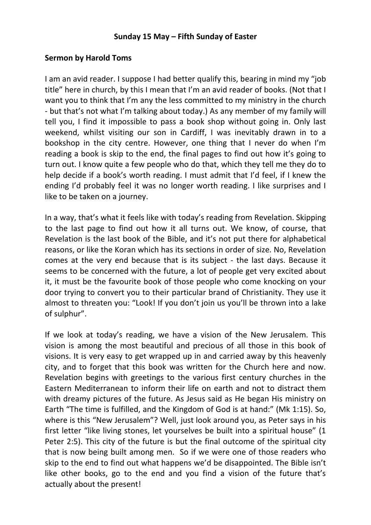## **Sunday 15 May – Fifth Sunday of Easter**

## **Sermon by Harold Toms**

I am an avid reader. I suppose I had better qualify this, bearing in mind my "job title" here in church, by this I mean that I'm an avid reader of books. (Not that I want you to think that I'm any the less committed to my ministry in the church - but that's not what I'm talking about today.) As any member of my family will tell you, I find it impossible to pass a book shop without going in. Only last weekend, whilst visiting our son in Cardiff, I was inevitably drawn in to a bookshop in the city centre. However, one thing that I never do when I'm reading a book is skip to the end, the final pages to find out how it's going to turn out. I know quite a few people who do that, which they tell me they do to help decide if a book's worth reading. I must admit that I'd feel, if I knew the ending I'd probably feel it was no longer worth reading. I like surprises and I like to be taken on a journey.

In a way, that's what it feels like with today's reading from Revelation. Skipping to the last page to find out how it all turns out. We know, of course, that Revelation is the last book of the Bible, and it's not put there for alphabetical reasons, or like the Koran which has its sections in order of size. No, Revelation comes at the very end because that is its subject - the last days. Because it seems to be concerned with the future, a lot of people get very excited about it, it must be the favourite book of those people who come knocking on your door trying to convert you to their particular brand of Christianity. They use it almost to threaten you: "Look! If you don't join us you'll be thrown into a lake of sulphur".

If we look at today's reading, we have a vision of the New Jerusalem. This vision is among the most beautiful and precious of all those in this book of visions. It is very easy to get wrapped up in and carried away by this heavenly city, and to forget that this book was written for the Church here and now. Revelation begins with greetings to the various first century churches in the Eastern Mediterranean to inform their life on earth and not to distract them with dreamy pictures of the future. As Jesus said as He began His ministry on Earth "The time is fulfilled, and the Kingdom of God is at hand:" (Mk 1:15). So, where is this "New Jerusalem"? Well, just look around you, as Peter says in his first letter "like living stones, let yourselves be built into a spiritual house" (1 Peter 2:5). This city of the future is but the final outcome of the spiritual city that is now being built among men. So if we were one of those readers who skip to the end to find out what happens we'd be disappointed. The Bible isn't like other books, go to the end and you find a vision of the future that's actually about the present!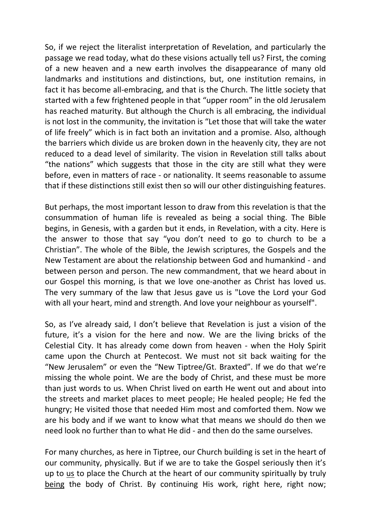So, if we reject the literalist interpretation of Revelation, and particularly the passage we read today, what do these visions actually tell us? First, the coming of a new heaven and a new earth involves the disappearance of many old landmarks and institutions and distinctions, but, one institution remains, in fact it has become all-embracing, and that is the Church. The little society that started with a few frightened people in that "upper room" in the old Jerusalem has reached maturity. But although the Church is all embracing, the individual is not lost in the community, the invitation is "Let those that will take the water of life freely" which is in fact both an invitation and a promise. Also, although the barriers which divide us are broken down in the heavenly city, they are not reduced to a dead level of similarity. The vision in Revelation still talks about "the nations" which suggests that those in the city are still what they were before, even in matters of race - or nationality. It seems reasonable to assume that if these distinctions still exist then so will our other distinguishing features.

But perhaps, the most important lesson to draw from this revelation is that the consummation of human life is revealed as being a social thing. The Bible begins, in Genesis, with a garden but it ends, in Revelation, with a city. Here is the answer to those that say "you don't need to go to church to be a Christian". The whole of the Bible, the Jewish scriptures, the Gospels and the New Testament are about the relationship between God and humankind - and between person and person. The new commandment, that we heard about in our Gospel this morning, is that we love one-another as Christ has loved us. The very summary of the law that Jesus gave us is "Love the Lord your God with all your heart, mind and strength. And love your neighbour as yourself".

So, as I've already said, I don't believe that Revelation is just a vision of the future, it's a vision for the here and now. We are the living bricks of the Celestial City. It has already come down from heaven - when the Holy Spirit came upon the Church at Pentecost. We must not sit back waiting for the "New Jerusalem" or even the "New Tiptree/Gt. Braxted". If we do that we're missing the whole point. We are the body of Christ, and these must be more than just words to us. When Christ lived on earth He went out and about into the streets and market places to meet people; He healed people; He fed the hungry; He visited those that needed Him most and comforted them. Now we are his body and if we want to know what that means we should do then we need look no further than to what He did - and then do the same ourselves.

For many churches, as here in Tiptree, our Church building is set in the heart of our community, physically. But if we are to take the Gospel seriously then it's up to us to place the Church at the heart of our community spiritually by truly being the body of Christ. By continuing His work, right here, right now;